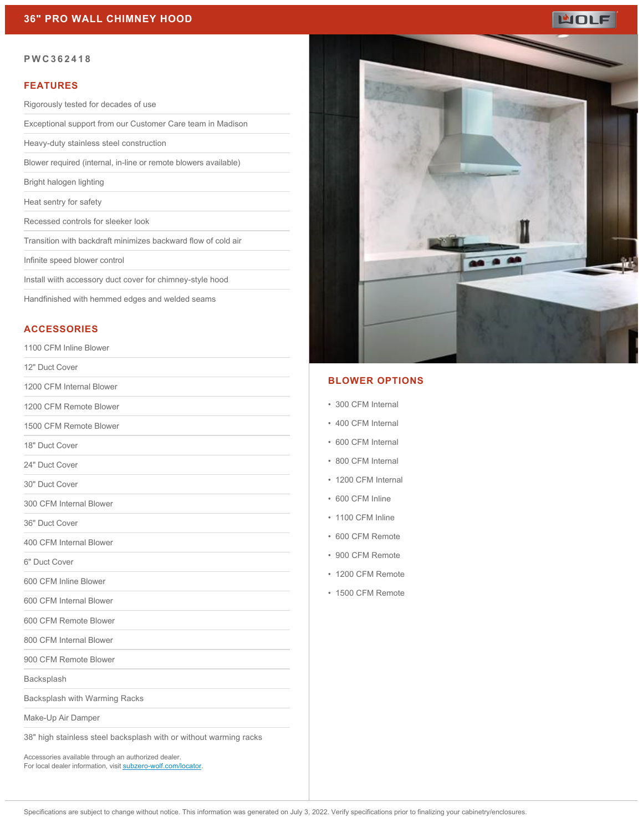

#### **PWC362418**

#### **FEATURES**

Rigorously tested for decades of use

Exceptional support from our Customer Care team in Madison

Heavy-duty stainless steel construction

Blower required (internal, in-line or remote blowers available)

Bright halogen lighting

Heat sentry for safety

Recessed controls for sleeker look

Transition with backdraft minimizes backward flow of cold air

Infinite speed blower control

Install wiith accessory duct cover for chimney-style hood

Handfinished with hemmed edges and welded seams

# **ACCESSORIES**

1100 CFM Inline Blower

12" Duct Cover

1200 CFM Internal Blower

1200 CFM Remote Blower

1500 CFM Remote Blower

18" Duct Cover

24" Duct Cover

30" Duct Cover

300 CFM Internal Blower

36" Duct Cover

400 CFM Internal Blower

6" Duct Cover

600 CFM Inline Blower

600 CFM Internal Blower

600 CFM Remote Blower

800 CFM Internal Blower

900 CFM Remote Blower

Backsplash

Backsplash with Warming Racks

Make-Up Air Damper

38" high stainless steel backsplash with or without warming racks

Accessories available through an authorized dealer. For local dealer information, visit [subzero-wolf.com/locator.](http://www.subzero-wolf.com/locator)



### **BLOWER OPTIONS**

- 300 CFM Internal
- 400 CFM Internal
- 600 CFM Internal
- 800 CFM Internal
- 1200 CFM Internal
- 600 CFM Inline
- 1100 CFM Inline
- 600 CFM Remote
- 900 CFM Remote
- 1200 CFM Remote
- 1500 CFM Remote